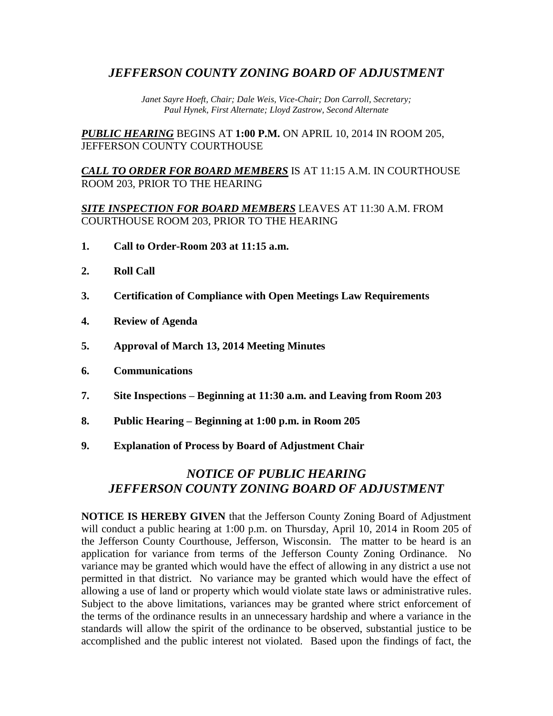## *JEFFERSON COUNTY ZONING BOARD OF ADJUSTMENT*

*Janet Sayre Hoeft, Chair; Dale Weis, Vice-Chair; Don Carroll, Secretary; Paul Hynek, First Alternate; Lloyd Zastrow, Second Alternate*

*PUBLIC HEARING* BEGINS AT **1:00 P.M.** ON APRIL 10, 2014 IN ROOM 205, JEFFERSON COUNTY COURTHOUSE

*CALL TO ORDER FOR BOARD MEMBERS* IS AT 11:15 A.M. IN COURTHOUSE ROOM 203, PRIOR TO THE HEARING

*SITE INSPECTION FOR BOARD MEMBERS* LEAVES AT 11:30 A.M. FROM COURTHOUSE ROOM 203, PRIOR TO THE HEARING

- **1. Call to Order-Room 203 at 11:15 a.m.**
- **2. Roll Call**
- **3. Certification of Compliance with Open Meetings Law Requirements**
- **4. Review of Agenda**
- **5. Approval of March 13, 2014 Meeting Minutes**
- **6. Communications**
- **7. Site Inspections – Beginning at 11:30 a.m. and Leaving from Room 203**
- **8. Public Hearing – Beginning at 1:00 p.m. in Room 205**
- **9. Explanation of Process by Board of Adjustment Chair**

# *NOTICE OF PUBLIC HEARING JEFFERSON COUNTY ZONING BOARD OF ADJUSTMENT*

**NOTICE IS HEREBY GIVEN** that the Jefferson County Zoning Board of Adjustment will conduct a public hearing at 1:00 p.m. on Thursday, April 10, 2014 in Room 205 of the Jefferson County Courthouse, Jefferson, Wisconsin. The matter to be heard is an application for variance from terms of the Jefferson County Zoning Ordinance. No variance may be granted which would have the effect of allowing in any district a use not permitted in that district. No variance may be granted which would have the effect of allowing a use of land or property which would violate state laws or administrative rules. Subject to the above limitations, variances may be granted where strict enforcement of the terms of the ordinance results in an unnecessary hardship and where a variance in the standards will allow the spirit of the ordinance to be observed, substantial justice to be accomplished and the public interest not violated. Based upon the findings of fact, the